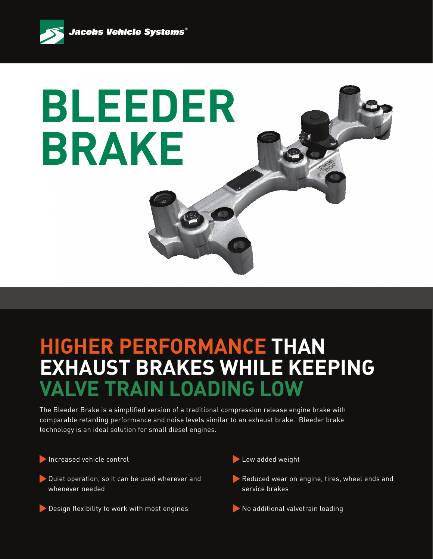

## **BLEEDER BRAKE**

## **HIGHER PERFORMANCE THAN EXHAUST BRAKES WHILE KEEPING VALVE TRAIN LOADING LOW**

The Bleeder Brake is a simplified version of a traditional compression release engine brake with comparable retarding performance and noise levels similar to an exhaust brake. Bleeder brake technology is an ideal solution for small diesel engines.

Increased vehicle control

- Quiet operation, so it can be used wherever and whenever needed
- Design flexibility to work with most engines
- Low added weight
- Reduced wear on engine, tires, wheel ends and service brakes
- No additional valvetrain loading